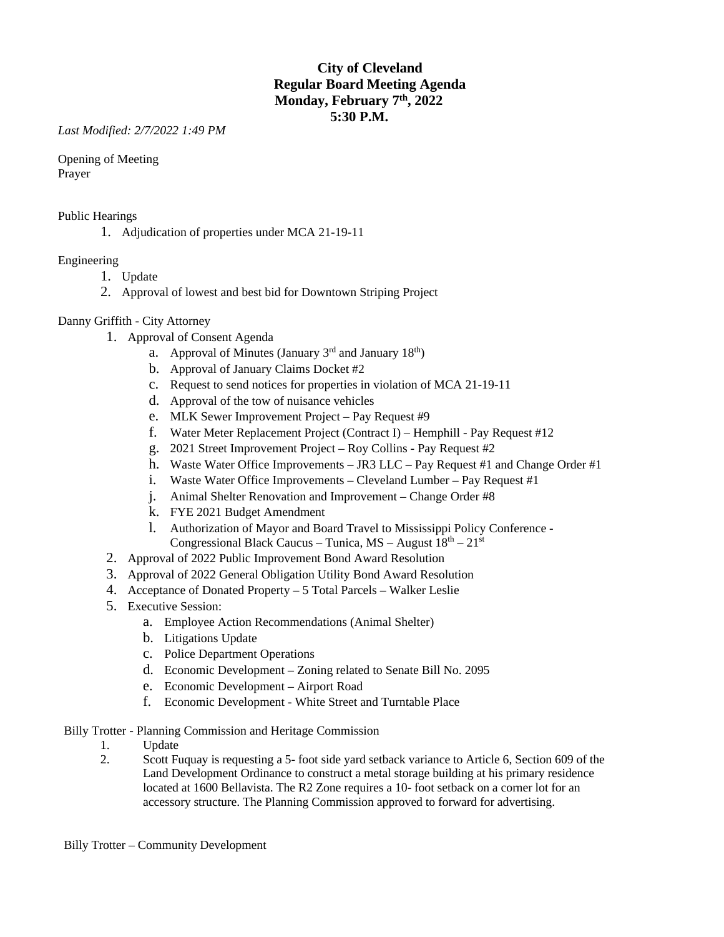# **City of Cleveland Regular Board Meeting Agenda Monday, February 7th, 2022 5:30 P.M.**

*Last Modified: 2/7/2022 1:49 PM*

Opening of Meeting Prayer

Public Hearings

1. Adjudication of properties under MCA 21-19-11

### Engineering

- 1. Update
- 2. Approval of lowest and best bid for Downtown Striping Project

### Danny Griffith - City Attorney

- 1. Approval of Consent Agenda
	- a. Approval of Minutes (January  $3<sup>rd</sup>$  and January  $18<sup>th</sup>$ )
	- b. Approval of January Claims Docket #2
	- c. Request to send notices for properties in violation of MCA 21-19-11
	- d. Approval of the tow of nuisance vehicles
	- e. MLK Sewer Improvement Project Pay Request #9
	- f. Water Meter Replacement Project (Contract I) Hemphill Pay Request #12
	- g. 2021 Street Improvement Project Roy Collins Pay Request #2
	- h. Waste Water Office Improvements JR3 LLC Pay Request #1 and Change Order #1
	- i. Waste Water Office Improvements Cleveland Lumber Pay Request #1
	- j. Animal Shelter Renovation and Improvement Change Order #8
	- k. FYE 2021 Budget Amendment
	- l. Authorization of Mayor and Board Travel to Mississippi Policy Conference Congressional Black Caucus – Tunica, MS – August  $18<sup>th</sup> - 21<sup>st</sup>$
- 2. Approval of 2022 Public Improvement Bond Award Resolution
- 3. Approval of 2022 General Obligation Utility Bond Award Resolution
- 4. Acceptance of Donated Property 5 Total Parcels Walker Leslie
- 5. Executive Session:
	- a. Employee Action Recommendations (Animal Shelter)
	- b. Litigations Update
	- c. Police Department Operations
	- d. Economic Development Zoning related to Senate Bill No. 2095
	- e. Economic Development Airport Road
	- f. Economic Development White Street and Turntable Place

Billy Trotter - Planning Commission and Heritage Commission

- 1. Update
- 2. Scott Fuquay is requesting a 5- foot side yard setback variance to Article 6, Section 609 of the Land Development Ordinance to construct a metal storage building at his primary residence located at 1600 Bellavista. The R2 Zone requires a 10- foot setback on a corner lot for an accessory structure. The Planning Commission approved to forward for advertising.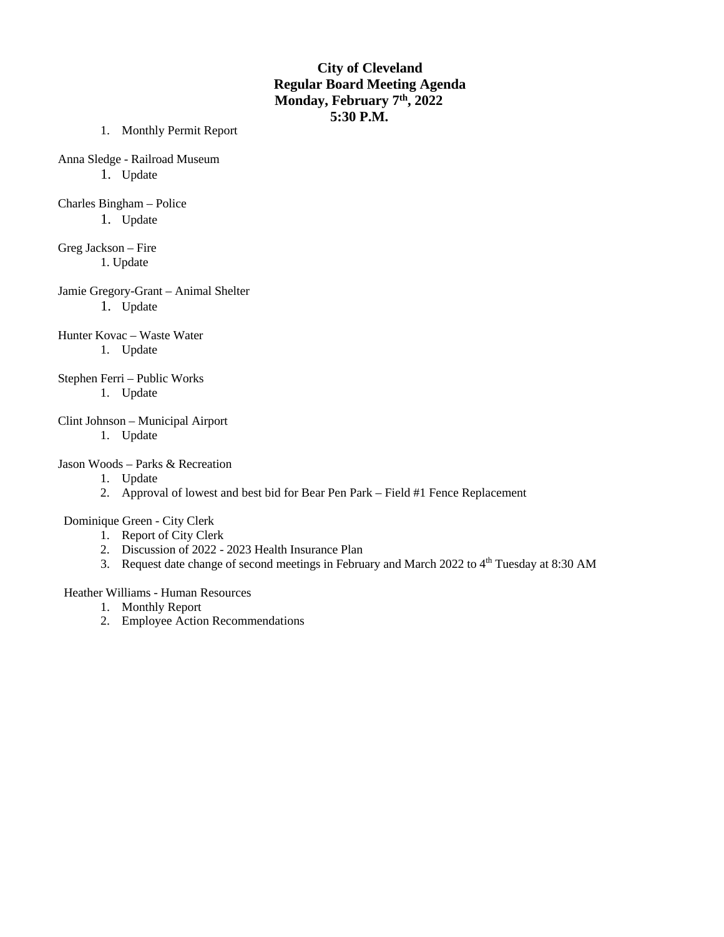# **City of Cleveland Regular Board Meeting Agenda Monday, February 7th, 2022 5:30 P.M.**

- 1. Monthly Permit Report
- Anna Sledge Railroad Museum
	- 1. Update
- Charles Bingham Police

1. Update

- Greg Jackson Fire 1. Update
- Jamie Gregory-Grant Animal Shelter 1. Update
- Hunter Kovac Waste Water 1. Update
- Stephen Ferri Public Works 1. Update
- Clint Johnson Municipal Airport
	- 1. Update

### Jason Woods – Parks & Recreation

- 1. Update
- 2. Approval of lowest and best bid for Bear Pen Park Field #1 Fence Replacement

Dominique Green - City Clerk

- 1. Report of City Clerk
- 2. Discussion of 2022 2023 Health Insurance Plan
- 3. Request date change of second meetings in February and March 2022 to  $4<sup>th</sup>$  Tuesday at 8:30 AM

### Heather Williams - Human Resources

- 1. Monthly Report
- 2. Employee Action Recommendations